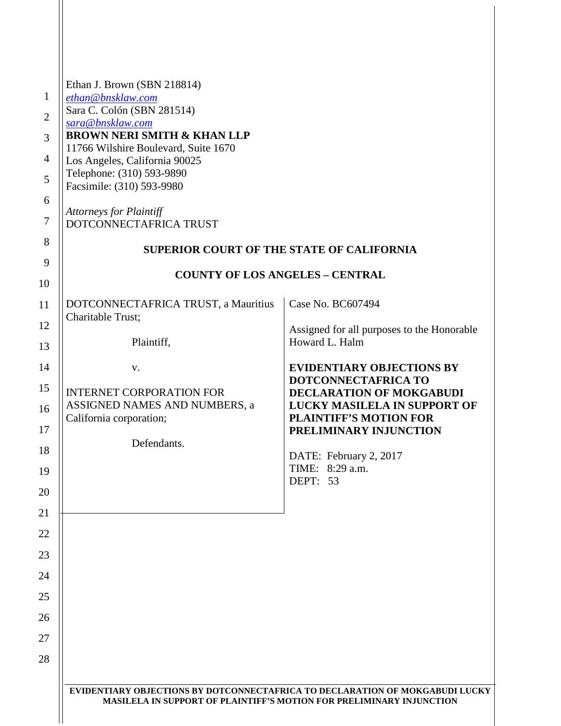|                | Ethan J. Brown (SBN 218814)                                                                                                                          |                                                         |
|----------------|------------------------------------------------------------------------------------------------------------------------------------------------------|---------------------------------------------------------|
| $\mathbf{1}$   | ethan@bnsklaw.com                                                                                                                                    |                                                         |
| $\overline{2}$ | Sara C. Colón (SBN 281514)<br>sara@bnsklaw.com                                                                                                       |                                                         |
| 3              | <b>BROWN NERI SMITH &amp; KHAN LLP</b>                                                                                                               |                                                         |
| 4              | 11766 Wilshire Boulevard, Suite 1670<br>Los Angeles, California 90025                                                                                |                                                         |
| 5              | Telephone: (310) 593-9890                                                                                                                            |                                                         |
|                | Facsimile: (310) 593-9980                                                                                                                            |                                                         |
| 6              | <b>Attorneys for Plaintiff</b>                                                                                                                       |                                                         |
| $\tau$         | DOTCONNECTAFRICA TRUST                                                                                                                               |                                                         |
| 8              | <b>SUPERIOR COURT OF THE STATE OF CALIFORNIA</b>                                                                                                     |                                                         |
| 9<br>10        | <b>COUNTY OF LOS ANGELES - CENTRAL</b>                                                                                                               |                                                         |
| 11             | DOTCONNECTAFRICA TRUST, a Mauritius                                                                                                                  | Case No. BC607494                                       |
| 12             | Charitable Trust;                                                                                                                                    | Assigned for all purposes to the Honorable              |
| 13             | Plaintiff,                                                                                                                                           | Howard L. Halm                                          |
| 14             | V.                                                                                                                                                   | <b>EVIDENTIARY OBJECTIONS BY</b>                        |
| 15             | <b>INTERNET CORPORATION FOR</b>                                                                                                                      | DOTCONNECTAFRICA TO<br>DECLARATION OF MOKGABUDI         |
| 16             | ASSIGNED NAMES AND NUMBERS, a                                                                                                                        | LUCKY MASILELA IN SUPPORT OF                            |
| 17             | California corporation;                                                                                                                              | <b>PLAINTIFF'S MOTION FOR</b><br>PRELIMINARY INJUNCTION |
|                | Defendants.                                                                                                                                          |                                                         |
| 18             |                                                                                                                                                      | DATE: February 2, 2017<br>TIME: 8:29 a.m.               |
| 19             |                                                                                                                                                      | DEPT: 53                                                |
|                |                                                                                                                                                      |                                                         |
|                |                                                                                                                                                      |                                                         |
| 22             |                                                                                                                                                      |                                                         |
| 23             |                                                                                                                                                      |                                                         |
| 24             |                                                                                                                                                      |                                                         |
| 25             |                                                                                                                                                      |                                                         |
| 26             |                                                                                                                                                      |                                                         |
| 27             |                                                                                                                                                      |                                                         |
| 28             |                                                                                                                                                      |                                                         |
|                | EVIDENTIARY OBJECTIONS BY DOTCONNECTAFRICA TO DECLARATION OF MOKGABUDI LUCKY<br>MASILELA IN SUPPORT OF PLAINTIFF'S MOTION FOR PRELIMINARY INJUNCTION |                                                         |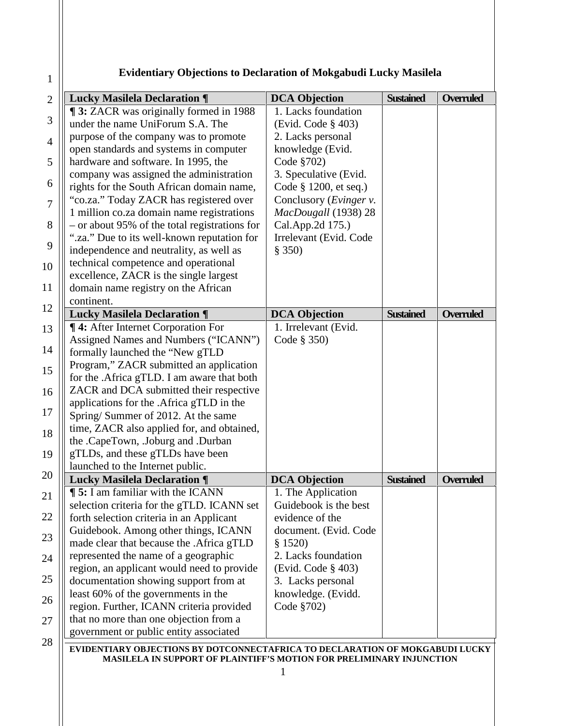## **Evidentiary Objections to Declaration of Mokgabudi Lucky Masilela**

1

| <b>Lucky Masilela Declaration ¶</b>                                                                                      | <b>DCA Objection</b>           | <b>Sustained</b> | Overruled        |
|--------------------------------------------------------------------------------------------------------------------------|--------------------------------|------------------|------------------|
| <b>1988 3:</b> ZACR was originally formed in 1988                                                                        | 1. Lacks foundation            |                  |                  |
| under the name UniForum S.A. The                                                                                         | (Evid. Code § 403)             |                  |                  |
| purpose of the company was to promote                                                                                    | 2. Lacks personal              |                  |                  |
| open standards and systems in computer                                                                                   | knowledge (Evid.               |                  |                  |
| hardware and software. In 1995, the                                                                                      | Code §702)                     |                  |                  |
| company was assigned the administration                                                                                  | 3. Speculative (Evid.          |                  |                  |
| rights for the South African domain name,                                                                                | Code § 1200, et seq.)          |                  |                  |
| "co.za." Today ZACR has registered over                                                                                  | Conclusory ( <i>Evinger v.</i> |                  |                  |
| 1 million co.za domain name registrations                                                                                | MacDougall (1938) 28           |                  |                  |
| - or about 95% of the total registrations for                                                                            | Cal.App.2d 175.)               |                  |                  |
| ".za." Due to its well-known reputation for                                                                              | Irrelevant (Evid. Code         |                  |                  |
| independence and neutrality, as well as                                                                                  | \$350)                         |                  |                  |
| technical competence and operational                                                                                     |                                |                  |                  |
| excellence, ZACR is the single largest                                                                                   |                                |                  |                  |
| domain name registry on the African                                                                                      |                                |                  |                  |
| continent.                                                                                                               |                                |                  |                  |
| <b>Lucky Masilela Declaration ¶</b>                                                                                      | <b>DCA Objection</b>           | <b>Sustained</b> | <b>Overruled</b> |
| ¶ 4: After Internet Corporation For                                                                                      | 1. Irrelevant (Evid.           |                  |                  |
| Assigned Names and Numbers ("ICANN")                                                                                     | Code § 350)                    |                  |                  |
| formally launched the "New gTLD                                                                                          |                                |                  |                  |
| Program," ZACR submitted an application                                                                                  |                                |                  |                  |
| for the .Africa gTLD. I am aware that both                                                                               |                                |                  |                  |
| ZACR and DCA submitted their respective                                                                                  |                                |                  |                  |
| applications for the .Africa gTLD in the                                                                                 |                                |                  |                  |
| Spring/Summer of 2012. At the same                                                                                       |                                |                  |                  |
| time, ZACR also applied for, and obtained,                                                                               |                                |                  |                  |
| the .CapeTown, .Joburg and .Durban                                                                                       |                                |                  |                  |
| gTLDs, and these gTLDs have been                                                                                         |                                |                  |                  |
| launched to the Internet public.                                                                                         |                                |                  |                  |
| <b>Lucky Masilela Declaration ¶</b>                                                                                      | <b>DCA Objection</b>           | <b>Sustained</b> | Overruled        |
| 5: I am familiar with the ICANN                                                                                          | 1. The Application             |                  |                  |
| selection criteria for the gTLD. ICANN set                                                                               | Guidebook is the best          |                  |                  |
| forth selection criteria in an Applicant                                                                                 | evidence of the                |                  |                  |
|                                                                                                                          |                                |                  |                  |
|                                                                                                                          | document. (Evid. Code          |                  |                  |
|                                                                                                                          | \$1520)                        |                  |                  |
| Guidebook. Among other things, ICANN<br>made clear that because the .Africa gTLD<br>represented the name of a geographic | 2. Lacks foundation            |                  |                  |
| region, an applicant would need to provide                                                                               | (Evid. Code $§$ 403)           |                  |                  |
| documentation showing support from at                                                                                    | 3. Lacks personal              |                  |                  |
| least 60% of the governments in the                                                                                      | knowledge. (Evidd.             |                  |                  |
| region. Further, ICANN criteria provided                                                                                 | Code §702)                     |                  |                  |
| that no more than one objection from a<br>government or public entity associated                                         |                                |                  |                  |

**EVIDENTIARY OBJECTIONS BY DOTCONNECTAFRICA TO DECLARATION OF MOKGABUDI LUCKY MASILELA IN SUPPORT OF PLAINTIFF'S MOTION FOR PRELIMINARY INJUNCTION**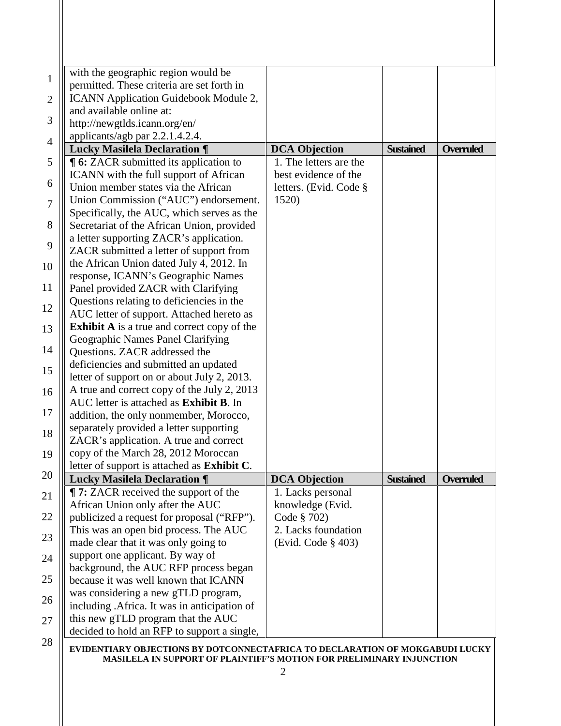| with the geographic region would be                                          |                        |                  |                  |
|------------------------------------------------------------------------------|------------------------|------------------|------------------|
| permitted. These criteria are set forth in                                   |                        |                  |                  |
| ICANN Application Guidebook Module 2,                                        |                        |                  |                  |
| and available online at:                                                     |                        |                  |                  |
| http://newgtlds.icann.org/en/                                                |                        |                  |                  |
| applicants/agb par 2.2.1.4.2.4.                                              |                        |                  |                  |
| <b>Lucky Masilela Declaration ¶</b>                                          | <b>DCA Objection</b>   | <b>Sustained</b> | <b>Overruled</b> |
| <b>16:</b> ZACR submitted its application to                                 | 1. The letters are the |                  |                  |
| ICANN with the full support of African                                       | best evidence of the   |                  |                  |
| Union member states via the African                                          | letters. (Evid. Code § |                  |                  |
| Union Commission ("AUC") endorsement.                                        | 1520)                  |                  |                  |
| Specifically, the AUC, which serves as the                                   |                        |                  |                  |
| Secretariat of the African Union, provided                                   |                        |                  |                  |
| a letter supporting ZACR's application.                                      |                        |                  |                  |
| ZACR submitted a letter of support from                                      |                        |                  |                  |
| the African Union dated July 4, 2012. In                                     |                        |                  |                  |
| response, ICANN's Geographic Names                                           |                        |                  |                  |
| Panel provided ZACR with Clarifying                                          |                        |                  |                  |
| Questions relating to deficiencies in the                                    |                        |                  |                  |
| AUC letter of support. Attached hereto as                                    |                        |                  |                  |
| <b>Exhibit A</b> is a true and correct copy of the                           |                        |                  |                  |
| Geographic Names Panel Clarifying                                            |                        |                  |                  |
| Questions. ZACR addressed the                                                |                        |                  |                  |
| deficiencies and submitted an updated                                        |                        |                  |                  |
| letter of support on or about July 2, 2013.                                  |                        |                  |                  |
| A true and correct copy of the July 2, 2013                                  |                        |                  |                  |
| AUC letter is attached as Exhibit B. In                                      |                        |                  |                  |
| addition, the only nonmember, Morocco,                                       |                        |                  |                  |
| separately provided a letter supporting                                      |                        |                  |                  |
| ZACR's application. A true and correct                                       |                        |                  |                  |
| copy of the March 28, 2012 Moroccan                                          |                        |                  |                  |
| letter of support is attached as Exhibit C.                                  |                        |                  |                  |
| <b>Lucky Masilela Declaration ¶</b>                                          | <b>DCA Objection</b>   | <b>Sustained</b> | <b>Overruled</b> |
| <b>T</b> 7: ZACR received the support of the                                 | 1. Lacks personal      |                  |                  |
| African Union only after the AUC                                             | knowledge (Evid.       |                  |                  |
| publicized a request for proposal ("RFP").                                   | Code § 702)            |                  |                  |
| This was an open bid process. The AUC                                        | 2. Lacks foundation    |                  |                  |
| made clear that it was only going to                                         | (Evid. Code § 403)     |                  |                  |
| support one applicant. By way of                                             |                        |                  |                  |
| background, the AUC RFP process began                                        |                        |                  |                  |
| because it was well known that ICANN                                         |                        |                  |                  |
| was considering a new gTLD program,                                          |                        |                  |                  |
| including .Africa. It was in anticipation of                                 |                        |                  |                  |
| this new gTLD program that the AUC                                           |                        |                  |                  |
| decided to hold an RFP to support a single,                                  |                        |                  |                  |
| EVIDENTIARY OBJECTIONS BY DOTCONNECTAFRICA TO DECLARATION OF MOKGABUDI LUCKY |                        |                  |                  |
| <b>MASILELA IN SUPPORT OF PLAINTIFF'S MOTION FOR PRELIMINARY INJUNCTION</b>  |                        |                  |                  |
|                                                                              | 2                      |                  |                  |
|                                                                              |                        |                  |                  |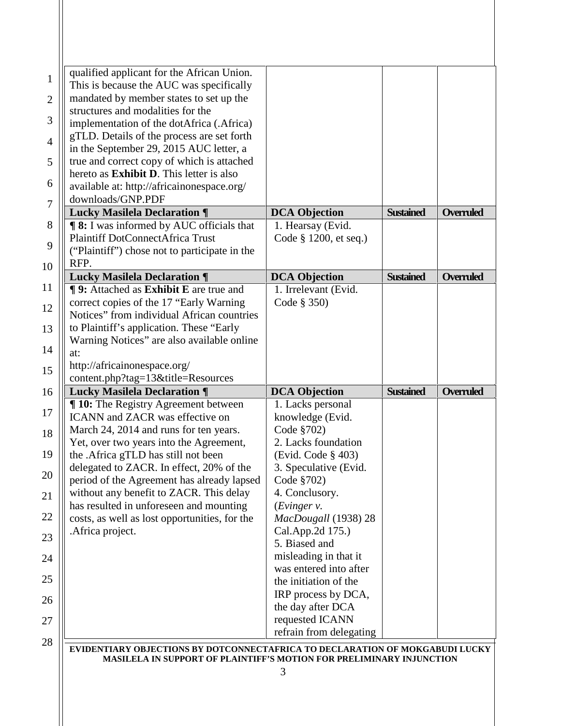| qualified applicant for the African Union.<br>This is because the AUC was specifically |                                          |                  |                  |
|----------------------------------------------------------------------------------------|------------------------------------------|------------------|------------------|
| mandated by member states to set up the                                                |                                          |                  |                  |
| structures and modalities for the                                                      |                                          |                  |                  |
| implementation of the dotAfrica (.Africa)                                              |                                          |                  |                  |
| gTLD. Details of the process are set forth                                             |                                          |                  |                  |
| in the September 29, 2015 AUC letter, a                                                |                                          |                  |                  |
| true and correct copy of which is attached                                             |                                          |                  |                  |
| hereto as <b>Exhibit D</b> . This letter is also                                       |                                          |                  |                  |
| available at: http://africainonespace.org/<br>downloads/GNP.PDF                        |                                          |                  |                  |
| <b>Lucky Masilela Declaration ¶</b>                                                    | <b>DCA Objection</b>                     | <b>Sustained</b> | <b>Overruled</b> |
| <b>98:</b> I was informed by AUC officials that                                        | 1. Hearsay (Evid.                        |                  |                  |
| <b>Plaintiff DotConnectAfrica Trust</b>                                                | Code § 1200, et seq.)                    |                  |                  |
| ("Plaintiff") chose not to participate in the                                          |                                          |                  |                  |
| RFP.                                                                                   |                                          |                  |                  |
| <b>Lucky Masilela Declaration ¶</b>                                                    | <b>DCA Objection</b>                     | <b>Sustained</b> | <b>Overruled</b> |
| <b>¶ 9:</b> Attached as <b>Exhibit E</b> are true and                                  | 1. Irrelevant (Evid.                     |                  |                  |
| correct copies of the 17 "Early Warning"                                               | Code § 350)                              |                  |                  |
| Notices" from individual African countries                                             |                                          |                  |                  |
| to Plaintiff's application. These "Early                                               |                                          |                  |                  |
| Warning Notices" are also available online                                             |                                          |                  |                  |
| at:<br>http://africainonespace.org/                                                    |                                          |                  |                  |
| content.php?tag=13&title=Resources                                                     |                                          |                  |                  |
| <b>Lucky Masilela Declaration ¶</b>                                                    | <b>DCA Objection</b>                     | <b>Sustained</b> | <b>Overruled</b> |
| <b>T10:</b> The Registry Agreement between                                             | 1. Lacks personal                        |                  |                  |
| <b>ICANN</b> and <b>ZACR</b> was effective on                                          | knowledge (Evid.                         |                  |                  |
| March 24, 2014 and runs for ten years.                                                 | Code §702)                               |                  |                  |
| Yet, over two years into the Agreement,                                                | 2. Lacks foundation                      |                  |                  |
| the .Africa gTLD has still not been                                                    | (Evid. Code § 403)                       |                  |                  |
| delegated to ZACR. In effect, 20% of the                                               | 3. Speculative (Evid.                    |                  |                  |
| period of the Agreement has already lapsed                                             | Code §702)                               |                  |                  |
| without any benefit to ZACR. This delay                                                | 4. Conclusory.                           |                  |                  |
| has resulted in unforeseen and mounting                                                | (Evinger v.                              |                  |                  |
| costs, as well as lost opportunities, for the<br>.Africa project.                      | MacDougall (1938) 28<br>Cal.App.2d 175.) |                  |                  |
|                                                                                        | 5. Biased and                            |                  |                  |
|                                                                                        | misleading in that it                    |                  |                  |
|                                                                                        | was entered into after                   |                  |                  |
|                                                                                        |                                          |                  |                  |
|                                                                                        | the initiation of the                    |                  |                  |
|                                                                                        |                                          |                  |                  |
|                                                                                        | IRP process by DCA,<br>the day after DCA |                  |                  |
|                                                                                        | requested ICANN                          |                  |                  |
|                                                                                        | refrain from delegating                  |                  |                  |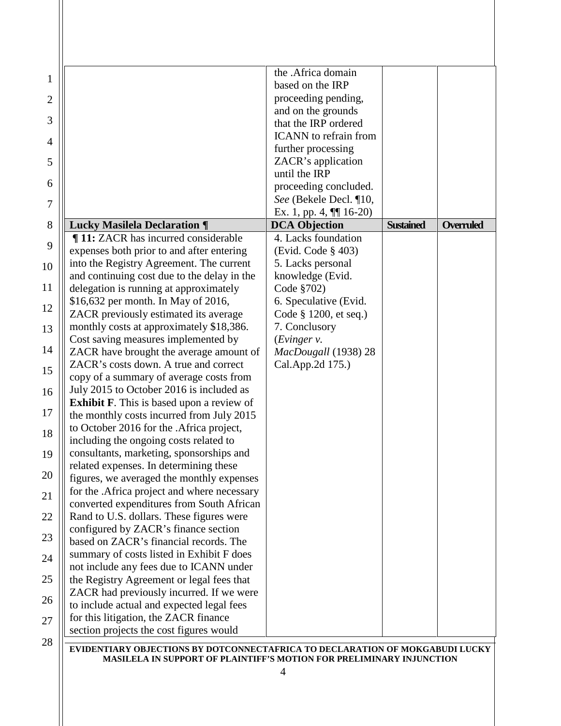|                                                  | the .Africa domain           |                  |                  |
|--------------------------------------------------|------------------------------|------------------|------------------|
|                                                  | based on the IRP             |                  |                  |
|                                                  | proceeding pending,          |                  |                  |
|                                                  | and on the grounds           |                  |                  |
|                                                  | that the IRP ordered         |                  |                  |
|                                                  | <b>ICANN</b> to refrain from |                  |                  |
|                                                  | further processing           |                  |                  |
|                                                  | ZACR's application           |                  |                  |
|                                                  | until the IRP                |                  |                  |
|                                                  | proceeding concluded.        |                  |                  |
|                                                  | See (Bekele Decl. ¶10,       |                  |                  |
|                                                  | Ex. 1, pp. 4, $\P$ [16-20)   |                  |                  |
| <b>Lucky Masilela Declaration ¶</b>              | <b>DCA Objection</b>         | <b>Sustained</b> | <b>Overruled</b> |
| <b>T11:</b> ZACR has incurred considerable       | 4. Lacks foundation          |                  |                  |
| expenses both prior to and after entering        | (Evid. Code § 403)           |                  |                  |
| into the Registry Agreement. The current         | 5. Lacks personal            |                  |                  |
| and continuing cost due to the delay in the      | knowledge (Evid.             |                  |                  |
| delegation is running at approximately           | Code §702)                   |                  |                  |
| \$16,632 per month. In May of 2016,              | 6. Speculative (Evid.        |                  |                  |
| ZACR previously estimated its average            | Code § 1200, et seq.)        |                  |                  |
| monthly costs at approximately \$18,386.         | 7. Conclusory                |                  |                  |
| Cost saving measures implemented by              | (Evinger v.                  |                  |                  |
| ZACR have brought the average amount of          | MacDougall (1938) 28         |                  |                  |
| ZACR's costs down. A true and correct            | Cal.App.2d 175.)             |                  |                  |
| copy of a summary of average costs from          |                              |                  |                  |
| July 2015 to October 2016 is included as         |                              |                  |                  |
| <b>Exhibit F.</b> This is based upon a review of |                              |                  |                  |
| the monthly costs incurred from July 2015        |                              |                  |                  |
| to October 2016 for the .Africa project,         |                              |                  |                  |
| including the ongoing costs related to           |                              |                  |                  |
| consultants, marketing, sponsorships and         |                              |                  |                  |
| related expenses. In determining these           |                              |                  |                  |
| figures, we averaged the monthly expenses        |                              |                  |                  |
| for the .Africa project and where necessary      |                              |                  |                  |
| converted expenditures from South African        |                              |                  |                  |
| Rand to U.S. dollars. These figures were         |                              |                  |                  |
| configured by ZACR's finance section             |                              |                  |                  |
| based on ZACR's financial records. The           |                              |                  |                  |
| summary of costs listed in Exhibit F does        |                              |                  |                  |
| not include any fees due to ICANN under          |                              |                  |                  |
| the Registry Agreement or legal fees that        |                              |                  |                  |
| ZACR had previously incurred. If we were         |                              |                  |                  |
| to include actual and expected legal fees        |                              |                  |                  |
| for this litigation, the ZACR finance            |                              |                  |                  |
| section projects the cost figures would          |                              |                  |                  |

4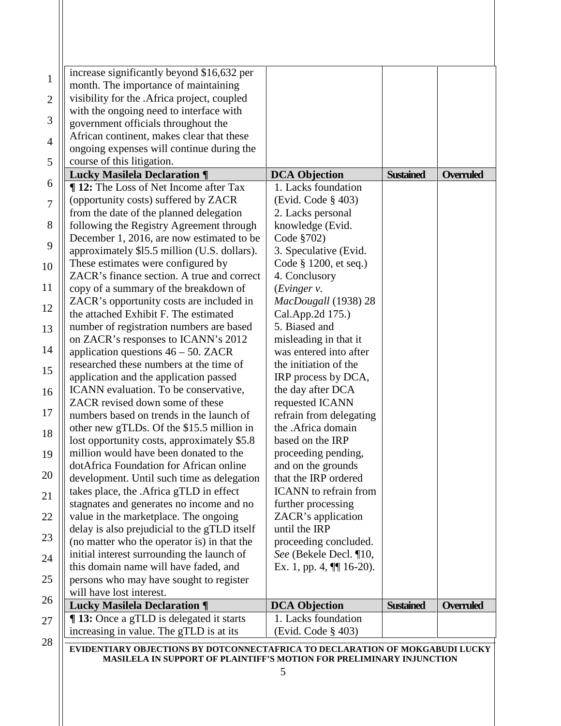| <b>13:</b> Once a gTLD is delegated it starts<br>increasing in value. The gTLD is at its | 1. Lacks foundation<br>(Evid. Code § 403) |                  |                  |
|------------------------------------------------------------------------------------------|-------------------------------------------|------------------|------------------|
| <b>Lucky Masilela Declaration ¶</b>                                                      | <b>DCA Objection</b>                      | <b>Sustained</b> | <b>Overruled</b> |
| will have lost interest.                                                                 |                                           |                  |                  |
| this domain name will have faded, and<br>persons who may have sought to register         | Ex. 1, pp. 4, $\P\P$ 16-20).              |                  |                  |
| initial interest surrounding the launch of                                               | See (Bekele Decl. ¶10,                    |                  |                  |
| (no matter who the operator is) in that the                                              | proceeding concluded.                     |                  |                  |
| delay is also prejudicial to the gTLD itself                                             | until the IRP                             |                  |                  |
| value in the marketplace. The ongoing                                                    | ZACR's application                        |                  |                  |
| stagnates and generates no income and no                                                 | further processing                        |                  |                  |
| takes place, the .Africa gTLD in effect                                                  | <b>ICANN</b> to refrain from              |                  |                  |
| development. Until such time as delegation                                               | that the IRP ordered                      |                  |                  |
| dotAfrica Foundation for African online                                                  | and on the grounds                        |                  |                  |
| million would have been donated to the                                                   | proceeding pending,                       |                  |                  |
| lost opportunity costs, approximately \$5.8                                              | based on the IRP                          |                  |                  |
| other new gTLDs. Of the \$15.5 million in                                                | the .Africa domain                        |                  |                  |
| numbers based on trends in the launch of                                                 | refrain from delegating                   |                  |                  |
| ZACR revised down some of these                                                          | requested ICANN                           |                  |                  |
| ICANN evaluation. To be conservative,                                                    | the day after DCA                         |                  |                  |
| application and the application passed                                                   | IRP process by DCA,                       |                  |                  |
| researched these numbers at the time of                                                  | the initiation of the                     |                  |                  |
| application questions $46 - 50$ . ZACR                                                   | was entered into after                    |                  |                  |
| on ZACR's responses to ICANN's 2012                                                      | misleading in that it                     |                  |                  |
| number of registration numbers are based                                                 | 5. Biased and                             |                  |                  |
| the attached Exhibit F. The estimated                                                    | Cal.App.2d 175.)                          |                  |                  |
| ZACR's opportunity costs are included in                                                 | MacDougall (1938) 28                      |                  |                  |
| copy of a summary of the breakdown of                                                    | (Evinger v.                               |                  |                  |
| ZACR's finance section. A true and correct                                               | 4. Conclusory                             |                  |                  |
| These estimates were configured by                                                       | Code § 1200, et seq.)                     |                  |                  |
| approximately \$15.5 million (U.S. dollars).                                             | 3. Speculative (Evid.                     |                  |                  |
| December 1, 2016, are now estimated to be                                                | Code §702)                                |                  |                  |
| following the Registry Agreement through                                                 | knowledge (Evid.                          |                  |                  |
| from the date of the planned delegation                                                  | 2. Lacks personal                         |                  |                  |
| (opportunity costs) suffered by ZACR                                                     | (Evid. Code § 403)                        |                  |                  |
| <b>12:</b> The Loss of Net Income after Tax                                              | 1. Lacks foundation                       |                  |                  |
| <b>Lucky Masilela Declaration ¶</b>                                                      | <b>DCA Objection</b>                      | <b>Sustained</b> | Overruled        |
| course of this litigation.                                                               |                                           |                  |                  |
| African continent, makes clear that these<br>ongoing expenses will continue during the   |                                           |                  |                  |
| government officials throughout the                                                      |                                           |                  |                  |
| with the ongoing need to interface with                                                  |                                           |                  |                  |
| visibility for the .Africa project, coupled                                              |                                           |                  |                  |
| month. The importance of maintaining                                                     |                                           |                  |                  |
| increase significantly beyond \$16,632 per                                               |                                           |                  |                  |

**MASILELA IN SUPPORT OF PLAINTIFF'S MOTION FOR PRELIMINARY INJUNCTION**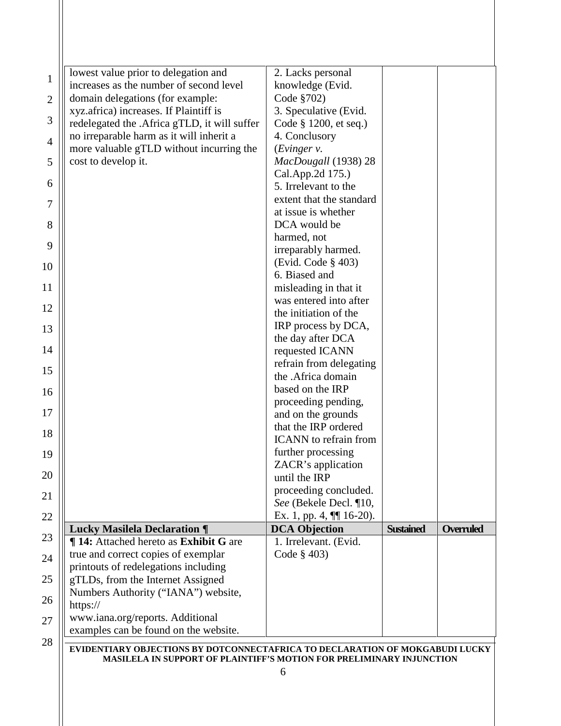| lowest value prior to delegation and                                                                                                                 | 2. Lacks personal                                  |                  |                  |
|------------------------------------------------------------------------------------------------------------------------------------------------------|----------------------------------------------------|------------------|------------------|
| increases as the number of second level                                                                                                              | knowledge (Evid.                                   |                  |                  |
| domain delegations (for example:                                                                                                                     | Code §702)                                         |                  |                  |
| xyz.africa) increases. If Plaintiff is                                                                                                               | 3. Speculative (Evid.                              |                  |                  |
| redelegated the .Africa gTLD, it will suffer                                                                                                         | Code § 1200, et seq.)                              |                  |                  |
| no irreparable harm as it will inherit a                                                                                                             | 4. Conclusory                                      |                  |                  |
| more valuable gTLD without incurring the<br>cost to develop it.                                                                                      | (Evinger v.<br>MacDougall (1938) 28                |                  |                  |
|                                                                                                                                                      | Cal.App.2d 175.)                                   |                  |                  |
|                                                                                                                                                      | 5. Irrelevant to the                               |                  |                  |
|                                                                                                                                                      | extent that the standard                           |                  |                  |
|                                                                                                                                                      | at issue is whether                                |                  |                  |
|                                                                                                                                                      | DCA would be                                       |                  |                  |
|                                                                                                                                                      | harmed, not                                        |                  |                  |
|                                                                                                                                                      | irreparably harmed.                                |                  |                  |
|                                                                                                                                                      | (Evid. Code § 403)                                 |                  |                  |
|                                                                                                                                                      | 6. Biased and                                      |                  |                  |
|                                                                                                                                                      | misleading in that it<br>was entered into after    |                  |                  |
|                                                                                                                                                      | the initiation of the                              |                  |                  |
|                                                                                                                                                      | IRP process by DCA,                                |                  |                  |
|                                                                                                                                                      | the day after DCA                                  |                  |                  |
|                                                                                                                                                      | requested ICANN                                    |                  |                  |
|                                                                                                                                                      | refrain from delegating                            |                  |                  |
|                                                                                                                                                      | the .Africa domain                                 |                  |                  |
|                                                                                                                                                      | based on the IRP                                   |                  |                  |
|                                                                                                                                                      | proceeding pending,<br>and on the grounds          |                  |                  |
|                                                                                                                                                      | that the IRP ordered                               |                  |                  |
|                                                                                                                                                      | <b>ICANN</b> to refrain from                       |                  |                  |
|                                                                                                                                                      | further processing                                 |                  |                  |
|                                                                                                                                                      | ZACR's application                                 |                  |                  |
|                                                                                                                                                      | until the IRP                                      |                  |                  |
|                                                                                                                                                      | proceeding concluded.                              |                  |                  |
|                                                                                                                                                      | See (Bekele Decl. ¶10,                             |                  |                  |
| <b>Lucky Masilela Declaration ¶</b>                                                                                                                  | Ex. 1, pp. 4, $\P$ 16-20).<br><b>DCA Objection</b> | <b>Sustained</b> | <b>Overruled</b> |
| ¶ 14: Attached hereto as Exhibit G are                                                                                                               | 1. Irrelevant. (Evid.                              |                  |                  |
| true and correct copies of exemplar                                                                                                                  | Code § 403)                                        |                  |                  |
| printouts of redelegations including                                                                                                                 |                                                    |                  |                  |
| gTLDs, from the Internet Assigned                                                                                                                    |                                                    |                  |                  |
| Numbers Authority ("IANA") website,                                                                                                                  |                                                    |                  |                  |
| https://                                                                                                                                             |                                                    |                  |                  |
| www.iana.org/reports. Additional                                                                                                                     |                                                    |                  |                  |
| examples can be found on the website.                                                                                                                |                                                    |                  |                  |
|                                                                                                                                                      |                                                    |                  |                  |
| EVIDENTIARY OBJECTIONS BY DOTCONNECTAFRICA TO DECLARATION OF MOKGABUDI LUCKY<br>MASILELA IN SUPPORT OF PLAINTIFF'S MOTION FOR PRELIMINARY INJUNCTION |                                                    |                  |                  |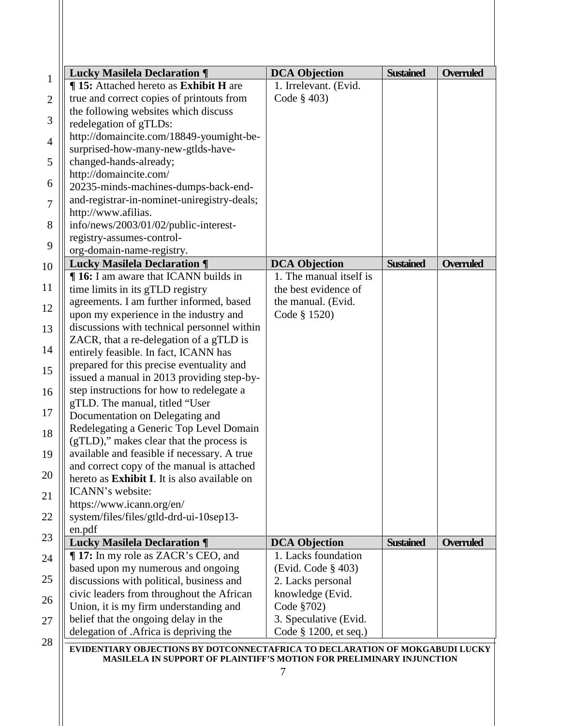| <b>Lucky Masilela Declaration ¶</b>                  | <b>DCA Objection</b>    | <b>Sustained</b> | <b>Overruled</b> |
|------------------------------------------------------|-------------------------|------------------|------------------|
| <b>¶ 15:</b> Attached hereto as <b>Exhibit H</b> are | 1. Irrelevant. (Evid.   |                  |                  |
| true and correct copies of printouts from            | Code $§$ 403)           |                  |                  |
| the following websites which discuss                 |                         |                  |                  |
| redelegation of gTLDs:                               |                         |                  |                  |
| http://domaincite.com/18849-youmight-be-             |                         |                  |                  |
| surprised-how-many-new-gtlds-have-                   |                         |                  |                  |
| changed-hands-already;                               |                         |                  |                  |
| http://domaincite.com/                               |                         |                  |                  |
| 20235-minds-machines-dumps-back-end-                 |                         |                  |                  |
| and-registrar-in-nominet-uniregistry-deals;          |                         |                  |                  |
| http://www.afilias.                                  |                         |                  |                  |
| info/news/2003/01/02/public-interest-                |                         |                  |                  |
| registry-assumes-control-                            |                         |                  |                  |
| org-domain-name-registry.                            |                         |                  |                  |
| <b>Lucky Masilela Declaration ¶</b>                  | <b>DCA Objection</b>    | <b>Sustained</b> | <b>Overruled</b> |
| <b>16:</b> I am aware that ICANN builds in           | 1. The manual itself is |                  |                  |
| time limits in its gTLD registry                     | the best evidence of    |                  |                  |
| agreements. I am further informed, based             | the manual. (Evid.      |                  |                  |
| upon my experience in the industry and               | Code § 1520)            |                  |                  |
| discussions with technical personnel within          |                         |                  |                  |
| ZACR, that a re-delegation of a gTLD is              |                         |                  |                  |
| entirely feasible. In fact, ICANN has                |                         |                  |                  |
| prepared for this precise eventuality and            |                         |                  |                  |
| issued a manual in 2013 providing step-by-           |                         |                  |                  |
| step instructions for how to redelegate a            |                         |                  |                  |
| gTLD. The manual, titled "User                       |                         |                  |                  |
| Documentation on Delegating and                      |                         |                  |                  |
| Redelegating a Generic Top Level Domain              |                         |                  |                  |
| (gTLD)," makes clear that the process is             |                         |                  |                  |
| available and feasible if necessary. A true          |                         |                  |                  |
| and correct copy of the manual is attached           |                         |                  |                  |
| hereto as Exhibit I. It is also available on         |                         |                  |                  |
| ICANN's website:                                     |                         |                  |                  |
| https://www.icann.org/en/                            |                         |                  |                  |
| system/files/files/gtld-drd-ui-10sep13-              |                         |                  |                  |
| en.pdf                                               |                         |                  |                  |
| <b>Lucky Masilela Declaration ¶</b>                  | <b>DCA Objection</b>    | <b>Sustained</b> | <b>Overruled</b> |
| <b>17:</b> In my role as ZACR's CEO, and             | 1. Lacks foundation     |                  |                  |
| based upon my numerous and ongoing                   | (Evid. Code § 403)      |                  |                  |
| discussions with political, business and             | 2. Lacks personal       |                  |                  |
| civic leaders from throughout the African            | knowledge (Evid.        |                  |                  |
| Union, it is my firm understanding and               | Code §702)              |                  |                  |
| belief that the ongoing delay in the                 | 3. Speculative (Evid.   |                  |                  |
| delegation of .Africa is depriving the               | Code § 1200, et seq.)   |                  |                  |
|                                                      |                         |                  |                  |

**MASILELA IN SUPPORT OF PLAINTIFF'S MOTION FOR PRELIMINARY INJUNCTION**